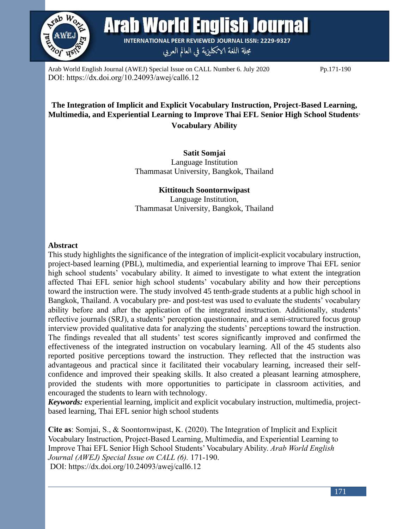

**Arab World English Journal** 

**INTERNATIONAL PEER REVIEWED JOURNAL ISSN: 2229-9327** مجلة اللغة الانكليزية في العالم العربي

Arab World English Journal (AWEJ) Special Issue on CALL Number 6. July 2020 Pp.171-190 DOI: https://dx.doi.org/10.24093/awej/call6.12

# **The Integration of Implicit and Explicit Vocabulary Instruction, Project-Based Learning, Multimedia, and Experiential Learning to Improve Thai EFL Senior High School Students' Vocabulary Ability**

**Satit Somjai** Language Institution Thammasat University, Bangkok, Thailand

**Kittitouch Soontornwipast** Language Institution, Thammasat University, Bangkok, Thailand

#### **Abstract**

This study highlights the significance of the integration of implicit-explicit vocabulary instruction, project-based learning (PBL), multimedia, and experiential learning to improve Thai EFL senior high school students' vocabulary ability. It aimed to investigate to what extent the integration affected Thai EFL senior high school students' vocabulary ability and how their perceptions toward the instruction were. The study involved 45 tenth-grade students at a public high school in Bangkok, Thailand. A vocabulary pre- and post-test was used to evaluate the students' vocabulary ability before and after the application of the integrated instruction. Additionally, students' reflective journals (SRJ), a students' perception questionnaire, and a semi-structured focus group interview provided qualitative data for analyzing the students' perceptions toward the instruction. The findings revealed that all students' test scores significantly improved and confirmed the effectiveness of the integrated instruction on vocabulary learning. All of the 45 students also reported positive perceptions toward the instruction. They reflected that the instruction was advantageous and practical since it facilitated their vocabulary learning, increased their selfconfidence and improved their speaking skills. It also created a pleasant learning atmosphere, provided the students with more opportunities to participate in classroom activities, and encouraged the students to learn with technology.

*Keywords:* experiential learning, implicit and explicit vocabulary instruction, multimedia, projectbased learning, Thai EFL senior high school students

**Cite as**: Somjai, S., & Soontornwipast, K. (2020). The Integration of Implicit and Explicit Vocabulary Instruction, Project-Based Learning, Multimedia, and Experiential Learning to Improve Thai EFL Senior High School Students' Vocabulary Ability. *Arab World English Journal (AWEJ) Special Issue on CALL (6).* 171-190. DOI: https://dx.doi.org/10.24093/awej/call6.12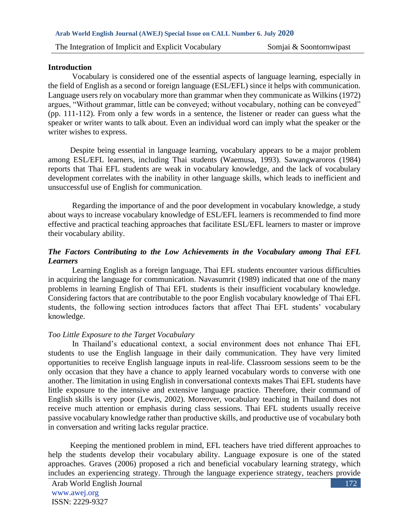#### **Introduction**

 Vocabulary is considered one of the essential aspects of language learning, especially in the field of English as a second or foreign language (ESL/EFL) since it helps with communication. Language users rely on vocabulary more than grammar when they communicate as Wilkins (1972) argues, "Without grammar, little can be conveyed; without vocabulary, nothing can be conveyed" (pp. 111-112). From only a few words in a sentence, the listener or reader can guess what the speaker or writer wants to talk about. Even an individual word can imply what the speaker or the writer wishes to express.

 Despite being essential in language learning, vocabulary appears to be a major problem among ESL/EFL learners, including Thai students (Waemusa, 1993). Sawangwaroros (1984) reports that Thai EFL students are weak in vocabulary knowledge, and the lack of vocabulary development correlates with the inability in other language skills, which leads to inefficient and unsuccessful use of English for communication.

Regarding the importance of and the poor development in vocabulary knowledge, a study about ways to increase vocabulary knowledge of ESL/EFL learners is recommended to find more effective and practical teaching approaches that facilitate ESL/EFL learners to master or improve their vocabulary ability.

### *The Factors Contributing to the Low Achievements in the Vocabulary among Thai EFL Learners*

Learning English as a foreign language, Thai EFL students encounter various difficulties in acquiring the language for communication. Navasumrit (1989) indicated that one of the many problems in learning English of Thai EFL students is their insufficient vocabulary knowledge. Considering factors that are contributable to the poor English vocabulary knowledge of Thai EFL students, the following section introduces factors that affect Thai EFL students' vocabulary knowledge.

#### *Too Little Exposure to the Target Vocabulary*

In Thailand's educational context, a social environment does not enhance Thai EFL students to use the English language in their daily communication. They have very limited opportunities to receive English language inputs in real-life. Classroom sessions seem to be the only occasion that they have a chance to apply learned vocabulary words to converse with one another. The limitation in using English in conversational contexts makes Thai EFL students have little exposure to the intensive and extensive language practice. Therefore, their command of English skills is very poor (Lewis, 2002). Moreover, vocabulary teaching in Thailand does not receive much attention or emphasis during class sessions. Thai EFL students usually receive passive vocabulary knowledge rather than productive skills, and productive use of vocabulary both in conversation and writing lacks regular practice.

 Keeping the mentioned problem in mind, EFL teachers have tried different approaches to help the students develop their vocabulary ability. Language exposure is one of the stated approaches. Graves (2006) proposed a rich and beneficial vocabulary learning strategy, which includes an experiencing strategy. Through the language experience strategy, teachers provide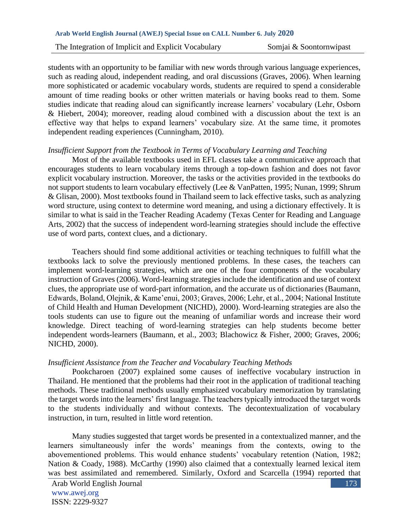students with an opportunity to be familiar with new words through various language experiences, such as reading aloud, independent reading, and oral discussions (Graves, 2006). When learning more sophisticated or academic vocabulary words, students are required to spend a considerable amount of time reading books or other written materials or having books read to them. Some studies indicate that reading aloud can significantly increase learners' vocabulary (Lehr, Osborn & Hiebert, 2004); moreover, reading aloud combined with a discussion about the text is an effective way that helps to expand learners' vocabulary size. At the same time, it promotes independent reading experiences (Cunningham, 2010).

#### *Insufficient Support from the Textbook in Terms of Vocabulary Learning and Teaching*

Most of the available textbooks used in EFL classes take a communicative approach that encourages students to learn vocabulary items through a top-down fashion and does not favor explicit vocabulary instruction. Moreover, the tasks or the activities provided in the textbooks do not support students to learn vocabulary effectively (Lee & VanPatten, 1995; Nunan, 1999; Shrum & Glisan, 2000). Most textbooks found in Thailand seem to lack effective tasks, such as analyzing word structure, using context to determine word meaning, and using a dictionary effectively. It is similar to what is said in the Teacher Reading Academy (Texas Center for Reading and Language Arts, 2002) that the success of independent word-learning strategies should include the effective use of word parts, context clues, and a dictionary.

Teachers should find some additional activities or teaching techniques to fulfill what the textbooks lack to solve the previously mentioned problems. In these cases, the teachers can implement word-learning strategies, which are one of the four components of the vocabulary instruction of Graves (2006). Word-learning strategies include the identification and use of context clues, the appropriate use of word-part information, and the accurate us of dictionaries (Baumann, Edwards, Boland, Olejnik, & Kame'enui, 2003; Graves, 2006; Lehr, et al., 2004; National Institute of Child Health and Human Development (NICHD), 2000). Word-learning strategies are also the tools students can use to figure out the meaning of unfamiliar words and increase their word knowledge. Direct teaching of word-learning strategies can help students become better independent words-learners (Baumann, et al., 2003; Blachowicz & Fisher, 2000; Graves, 2006; NICHD, 2000).

#### *Insufficient Assistance from the Teacher and Vocabulary Teaching Methods*

Pookcharoen (2007) explained some causes of ineffective vocabulary instruction in Thailand. He mentioned that the problems had their root in the application of traditional teaching methods. These traditional methods usually emphasized vocabulary memorization by translating the target words into the learners' first language. The teachers typically introduced the target words to the students individually and without contexts. The decontextualization of vocabulary instruction, in turn, resulted in little word retention.

 Many studies suggested that target words be presented in a contextualized manner, and the learners simultaneously infer the words' meanings from the contexts, owing to the abovementioned problems. This would enhance students' vocabulary retention (Nation, 1982; Nation & Coady, 1988). McCarthy (1990) also claimed that a contextually learned lexical item was best assimilated and remembered. Similarly, Oxford and Scarcella (1994) reported that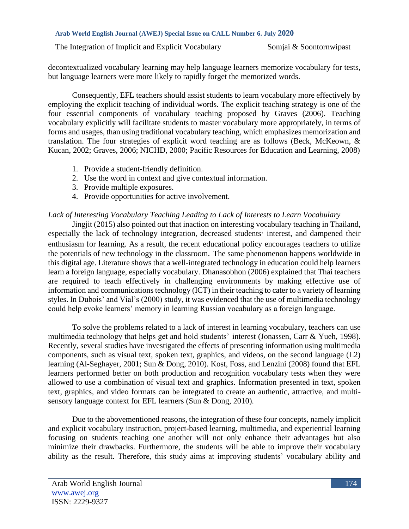decontextualized vocabulary learning may help language learners memorize vocabulary for tests, but language learners were more likely to rapidly forget the memorized words.

Consequently, EFL teachers should assist students to learn vocabulary more effectively by employing the explicit teaching of individual words. The explicit teaching strategy is one of the four essential components of vocabulary teaching proposed by Graves (2006). Teaching vocabulary explicitly will facilitate students to master vocabulary more appropriately, in terms of forms and usages, than using traditional vocabulary teaching, which emphasizes memorization and translation. The four strategies of explicit word teaching are as follows (Beck, McKeown, & Kucan, 2002; Graves, 2006; NICHD, 2000; Pacific Resources for Education and Learning, 2008)

- 1. Provide a student-friendly definition.
- 2. Use the word in context and give contextual information.
- 3. Provide multiple exposures.
- 4. Provide opportunities for active involvement.

# *Lack of Interesting Vocabulary Teaching Leading to Lack of Interests to Learn Vocabulary*

Jingjit (2015) also pointed out that inaction on interesting vocabulary teaching in Thailand, especially the lack of technology integration, decreased students' interest, and dampened their enthusiasm for learning. As a result, the recent educational policy encourages teachers to utilize the potentials of new technology in the classroom. The same phenomenon happens worldwide in this digital age. Literature shows that a well-integrated technology in education could help learners learn a foreign language, especially vocabulary. Dhanasobhon (2006) explained that Thai teachers are required to teach effectively in challenging environments by making effective use of information and communications technology (ICT) in their teaching to cater to a variety of learning styles. In Dubois' and Vial's (2000) study, it was evidenced that the use of multimedia technology could help evoke learners' memory in learning Russian vocabulary as a foreign language.

To solve the problems related to a lack of interest in learning vocabulary, teachers can use multimedia technology that helps get and hold students' interest (Jonassen, Carr & Yueh, 1998). Recently, several studies have investigated the effects of presenting information using multimedia components, such as visual text, spoken text, graphics, and videos, on the second language (L2) learning (Al-Seghayer, 2001; Sun & Dong, 2010). Kost, Foss, and Lenzini (2008) found that EFL learners performed better on both production and recognition vocabulary tests when they were allowed to use a combination of visual text and graphics. Information presented in text, spoken text, graphics, and video formats can be integrated to create an authentic, attractive, and multisensory language context for EFL learners (Sun & Dong, 2010).

Due to the abovementioned reasons, the integration of these four concepts, namely implicit and explicit vocabulary instruction, project-based learning, multimedia, and experiential learning focusing on students teaching one another will not only enhance their advantages but also minimize their drawbacks. Furthermore, the students will be able to improve their vocabulary ability as the result. Therefore, this study aims at improving students' vocabulary ability and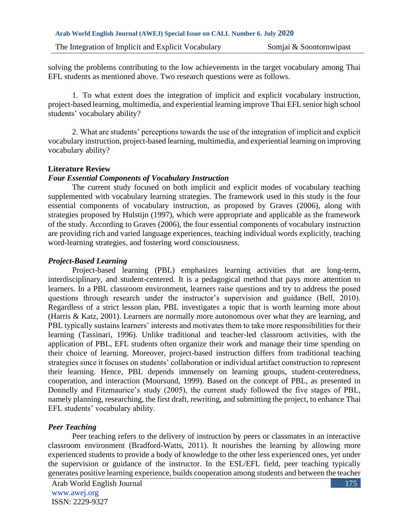The Integration of Implicit and Explicit Vocabulary Somjai & Soontornwipast

solving the problems contributing to the low achievements in the target vocabulary among Thai EFL students as mentioned above. Two research questions were as follows.

1. To what extent does the integration of implicit and explicit vocabulary instruction, project-based learning, multimedia, and experiential learning improve Thai EFL senior high school students' vocabulary ability?

2. What are students' perceptions towards the use of the integration of implicit and explicit vocabulary instruction, project-based learning, multimedia, and experiential learning on improving vocabulary ability?

#### **Literature Review**

#### *Four Essential Components of Vocabulary Instruction*

The current study focused on both implicit and explicit modes of vocabulary teaching supplemented with vocabulary learning strategies. The framework used in this study is the four essential components of vocabulary instruction, as proposed by Graves (2006), along with strategies proposed by Hulstijn (1997), which were appropriate and applicable as the framework of the study. According to Graves (2006), the four essential components of vocabulary instruction are providing rich and varied language experiences, teaching individual words explicitly, teaching word-learning strategies, and fostering word consciousness.

### *Project-Based Learning*

Project-based learning (PBL) emphasizes learning activities that are long-term, interdisciplinary, and student-centered. It is a pedagogical method that pays more attention to learners. In a PBL classroom environment, learners raise questions and try to address the posed questions through research under the instructor's supervision and guidance (Bell, 2010). Regardless of a strict lesson plan, PBL investigates a topic that is worth learning more about (Harris & Katz, 2001). Learners are normally more autonomous over what they are learning, and PBL typically sustains learners' interests and motivates them to take more responsibilities for their learning (Tassinari, 1996). Unlike traditional and teacher-led classroom activities, with the application of PBL, EFL students often organize their work and manage their time spending on their choice of learning. Moreover, project-based instruction differs from traditional teaching strategies since it focuses on students' collaboration or individual artifact construction to represent their learning. Hence, PBL depends immensely on learning groups, student-centeredness, cooperation, and interaction (Moursund, 1999). Based on the concept of PBL, as presented in Donnelly and Fitzmaurice's study (2005), the current study followed the five stages of PBL, namely planning, researching, the first draft, rewriting, and submitting the project, to enhance Thai EFL students' vocabulary ability.

### *Peer Teaching*

Peer teaching refers to the delivery of instruction by peers or classmates in an interactive classroom environment (Bradford-Watts, 2011). It nourishes the learning by allowing more experienced students to provide a body of knowledge to the other less experienced ones, yet under the supervision or guidance of the instructor. In the ESL/EFL field, peer teaching typically generates positive learning experience, builds cooperation among students and between the teacher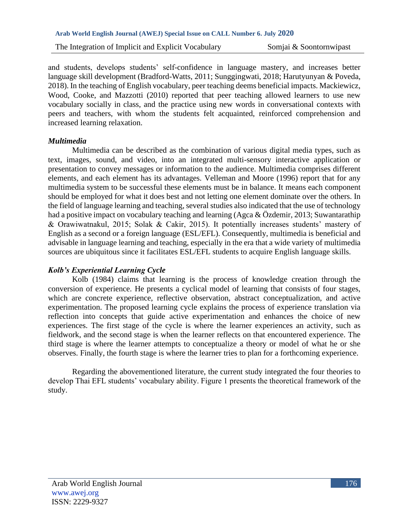and students, develops students' self-confidence in language mastery, and increases better language skill development (Bradford-Watts, 2011; Sunggingwati, 2018; Harutyunyan & Poveda, 2018). In the teaching of English vocabulary, peer teaching deems beneficial impacts. Mackiewicz, Wood, Cooke, and Mazzotti (2010) reported that peer teaching allowed learners to use new vocabulary socially in class, and the practice using new words in conversational contexts with peers and teachers, with whom the students felt acquainted, reinforced comprehension and increased learning relaxation.

### *Multimedia*

Multimedia can be described as the combination of various digital media types, such as text, images, sound, and video, into an integrated multi-sensory interactive application or presentation to convey messages or information to the audience. Multimedia comprises different elements, and each element has its advantages. Velleman and Moore (1996) report that for any multimedia system to be successful these elements must be in balance. It means each component should be employed for what it does best and not letting one element dominate over the others. In the field of language learning and teaching, several studies also indicated that the use of technology had a positive impact on vocabulary teaching and learning (Agca & Özdemir, 2013; Suwantarathip & Orawiwatnakul, 2015; Solak & Cakir, 2015). It potentially increases students' mastery of English as a second or a foreign language (ESL/EFL). Consequently, multimedia is beneficial and advisable in language learning and teaching, especially in the era that a wide variety of multimedia sources are ubiquitous since it facilitates ESL/EFL students to acquire English language skills.

# *Kolb's Experiential Learning Cycle*

Kolb (1984) claims that learning is the process of knowledge creation through the conversion of experience. He presents a cyclical model of learning that consists of four stages, which are concrete experience, reflective observation, abstract conceptualization, and active experimentation. The proposed learning cycle explains the process of experience translation via reflection into concepts that guide active experimentation and enhances the choice of new experiences. The first stage of the cycle is where the learner experiences an activity, such as fieldwork, and the second stage is when the learner reflects on that encountered experience. The third stage is where the learner attempts to conceptualize a theory or model of what he or she observes. Finally, the fourth stage is where the learner tries to plan for a forthcoming experience.

Regarding the abovementioned literature, the current study integrated the four theories to develop Thai EFL students' vocabulary ability. Figure 1 presents the theoretical framework of the study.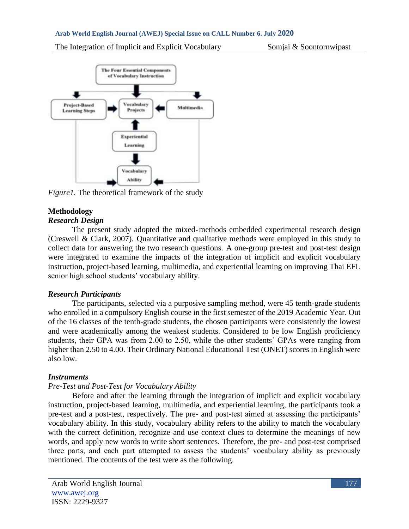

*Figure1.* The theoretical framework of the study

# **Methodology**

# *Research Design*

The present study adopted the mixed-methods embedded experimental research design (Creswell & Clark, 2007). Quantitative and qualitative methods were employed in this study to collect data for answering the two research questions. A one-group pre-test and post-test design were integrated to examine the impacts of the integration of implicit and explicit vocabulary instruction, project-based learning, multimedia, and experiential learning on improving Thai EFL senior high school students' vocabulary ability.

# *Research Participants*

The participants, selected via a purposive sampling method, were 45 tenth-grade students who enrolled in a compulsory English course in the first semester of the 2019 Academic Year. Out of the 16 classes of the tenth-grade students, the chosen participants were consistently the lowest and were academically among the weakest students. Considered to be low English proficiency students, their GPA was from 2.00 to 2.50, while the other students' GPAs were ranging from higher than 2.50 to 4.00. Their Ordinary National Educational Test (ONET) scores in English were also low.

# *Instruments*

# *Pre-Test and Post-Test for Vocabulary Ability*

Before and after the learning through the integration of implicit and explicit vocabulary instruction, project-based learning, multimedia, and experiential learning, the participants took a pre-test and a post-test, respectively. The pre- and post-test aimed at assessing the participants' vocabulary ability. In this study, vocabulary ability refers to the ability to match the vocabulary with the correct definition, recognize and use context clues to determine the meanings of new words, and apply new words to write short sentences. Therefore, the pre- and post-test comprised three parts, and each part attempted to assess the students' vocabulary ability as previously mentioned. The contents of the test were as the following.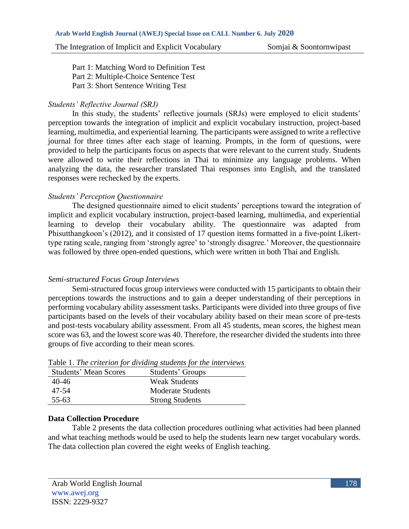Part 1: Matching Word to Definition Test Part 2: Multiple-Choice Sentence Test Part 3: Short Sentence Writing Test

# *Students' Reflective Journal (SRJ)*

In this study, the students' reflective journals (SRJs) were employed to elicit students' perception towards the integration of implicit and explicit vocabulary instruction, project-based learning, multimedia, and experiential learning. The participants were assigned to write a reflective journal for three times after each stage of learning. Prompts, in the form of questions, were provided to help the participants focus on aspects that were relevant to the current study. Students were allowed to write their reflections in Thai to minimize any language problems. When analyzing the data, the researcher translated Thai responses into English, and the translated responses were rechecked by the experts.

# *Students' Perception Questionnaire*

The designed questionnaire aimed to elicit students' perceptions toward the integration of implicit and explicit vocabulary instruction, project-based learning, multimedia, and experiential learning to develop their vocabulary ability. The questionnaire was adapted from Phisutthangkoon's (2012), and it consisted of 17 question items formatted in a five-point Likerttype rating scale, ranging from 'strongly agree' to 'strongly disagree.' Moreover, the questionnaire was followed by three open-ended questions, which were written in both Thai and English.

# *Semi-structured Focus Group Interviews*

Semi-structured focus group interviews were conducted with 15 participants to obtain their perceptions towards the instructions and to gain a deeper understanding of their perceptions in performing vocabulary ability assessment tasks. Participants were divided into three groups of five participants based on the levels of their vocabulary ability based on their mean score of pre-tests and post-tests vocabulary ability assessment. From all 45 students, mean scores, the highest mean score was 63, and the lowest score was 40. Therefore, the researcher divided the students into three groups of five according to their mean scores.

| Students' Groups         |
|--------------------------|
| <b>Weak Students</b>     |
| <b>Moderate Students</b> |
| <b>Strong Students</b>   |
|                          |

Table 1. *The criterion for dividing students for the interviews*

# **Data Collection Procedure**

Table 2 presents the data collection procedures outlining what activities had been planned and what teaching methods would be used to help the students learn new target vocabulary words. The data collection plan covered the eight weeks of English teaching.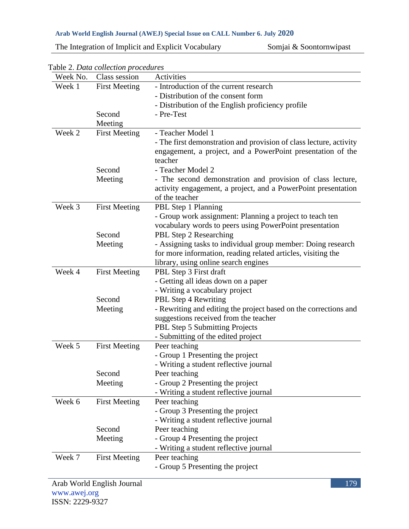The Integration of Implicit and Explicit Vocabulary Somjai & Soontornwipast

| Week No. | Class session        | Activities                                                                                                                                    |
|----------|----------------------|-----------------------------------------------------------------------------------------------------------------------------------------------|
| Week 1   | <b>First Meeting</b> | - Introduction of the current research                                                                                                        |
|          |                      | - Distribution of the consent form                                                                                                            |
|          |                      | - Distribution of the English proficiency profile                                                                                             |
|          | Second               | - Pre-Test                                                                                                                                    |
|          | Meeting              |                                                                                                                                               |
| Week 2   | <b>First Meeting</b> | - Teacher Model 1                                                                                                                             |
|          |                      | - The first demonstration and provision of class lecture, activity<br>engagement, a project, and a PowerPoint presentation of the<br>teacher  |
|          | Second               | - Teacher Model 2                                                                                                                             |
|          | Meeting              | - The second demonstration and provision of class lecture,<br>activity engagement, a project, and a PowerPoint presentation<br>of the teacher |
| Week 3   | <b>First Meeting</b> | PBL Step 1 Planning                                                                                                                           |
|          |                      | - Group work assignment: Planning a project to teach ten<br>vocabulary words to peers using PowerPoint presentation                           |
|          | Second               | PBL Step 2 Researching                                                                                                                        |
|          | Meeting              | - Assigning tasks to individual group member: Doing research                                                                                  |
|          |                      | for more information, reading related articles, visiting the                                                                                  |
|          |                      | library, using online search engines                                                                                                          |
| Week 4   | <b>First Meeting</b> | PBL Step 3 First draft                                                                                                                        |
|          |                      | - Getting all ideas down on a paper                                                                                                           |
|          |                      | - Writing a vocabulary project                                                                                                                |
|          | Second               | PBL Step 4 Rewriting                                                                                                                          |
|          | Meeting              | - Rewriting and editing the project based on the corrections and                                                                              |
|          |                      | suggestions received from the teacher                                                                                                         |
|          |                      | PBL Step 5 Submitting Projects                                                                                                                |
|          |                      | - Submitting of the edited project                                                                                                            |
| Week 5   | <b>First Meeting</b> | Peer teaching                                                                                                                                 |
|          |                      | - Group 1 Presenting the project                                                                                                              |
|          |                      | - Writing a student reflective journal                                                                                                        |
|          | Second               | Peer teaching                                                                                                                                 |
|          | Meeting              | - Group 2 Presenting the project                                                                                                              |
| Week 6   | <b>First Meeting</b> | - Writing a student reflective journal<br>Peer teaching                                                                                       |
|          |                      | - Group 3 Presenting the project                                                                                                              |
|          |                      | - Writing a student reflective journal                                                                                                        |
|          | Second               | Peer teaching                                                                                                                                 |
|          | Meeting              | - Group 4 Presenting the project                                                                                                              |
|          |                      | - Writing a student reflective journal                                                                                                        |
| Week 7   | <b>First Meeting</b> | Peer teaching                                                                                                                                 |
|          |                      | - Group 5 Presenting the project                                                                                                              |
|          |                      |                                                                                                                                               |

Table 2. *Data collection procedures*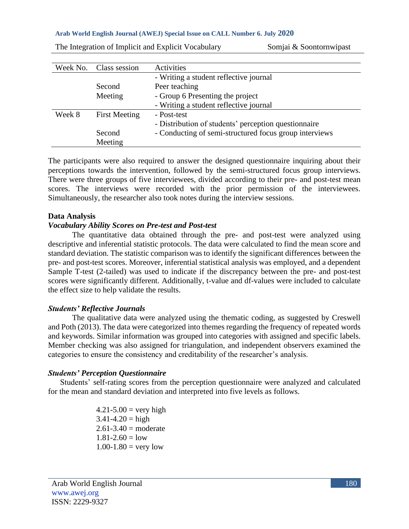| Week No. | Class session        | Activities                                             |
|----------|----------------------|--------------------------------------------------------|
|          |                      | - Writing a student reflective journal                 |
|          | Second               | Peer teaching                                          |
|          | Meeting              | - Group 6 Presenting the project                       |
|          |                      | - Writing a student reflective journal                 |
| Week 8   | <b>First Meeting</b> | - Post-test                                            |
|          |                      | - Distribution of students' perception questionnaire   |
|          | Second               | - Conducting of semi-structured focus group interviews |
|          | Meeting              |                                                        |

The Integration of Implicit and Explicit Vocabulary Somjai  $\&$  Soontornwipast

The participants were also required to answer the designed questionnaire inquiring about their perceptions towards the intervention, followed by the semi-structured focus group interviews. There were three groups of five interviewees, divided according to their pre- and post-test mean scores. The interviews were recorded with the prior permission of the interviewees. Simultaneously, the researcher also took notes during the interview sessions.

#### **Data Analysis**

#### *Vocabulary Ability Scores on Pre-test and Post-test*

The quantitative data obtained through the pre- and post-test were analyzed using descriptive and inferential statistic protocols. The data were calculated to find the mean score and standard deviation. The statistic comparison was to identify the significant differences between the pre- and post-test scores. Moreover, inferential statistical analysis was employed, and a dependent Sample T-test (2-tailed) was used to indicate if the discrepancy between the pre- and post-test scores were significantly different. Additionally, t-value and df-values were included to calculate the effect size to help validate the results.

#### *Students' Reflective Journals*

The qualitative data were analyzed using the thematic coding, as suggested by Creswell and Poth (2013). The data were categorized into themes regarding the frequency of repeated words and keywords. Similar information was grouped into categories with assigned and specific labels. Member checking was also assigned for triangulation, and independent observers examined the categories to ensure the consistency and creditability of the researcher's analysis.

### *Students' Perception Questionnaire*

Students' self-rating scores from the perception questionnaire were analyzed and calculated for the mean and standard deviation and interpreted into five levels as follows.

> $4.21 - 5.00 =$  very high  $3.41 - 4.20 =$ high  $2.61 - 3.40 = \text{moderate}$  $1.81 - 2.60 = \text{low}$  $1.00 - 1.80 = \text{very low}$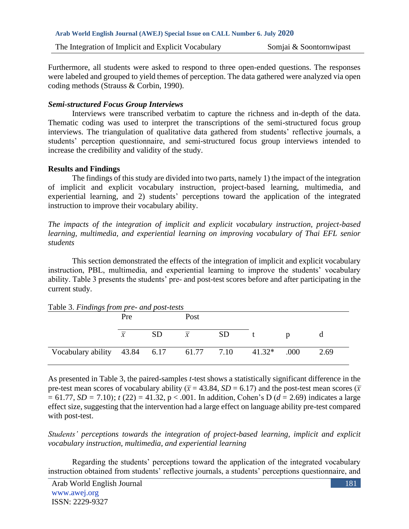The Integration of Implicit and Explicit Vocabulary Somjai  $\&$  Soontornwipast

Furthermore, all students were asked to respond to three open-ended questions. The responses were labeled and grouped to yield themes of perception. The data gathered were analyzed via open coding methods (Strauss & Corbin, 1990).

#### *Semi-structured Focus Group Interviews*

Interviews were transcribed verbatim to capture the richness and in-depth of the data. Thematic coding was used to interpret the transcriptions of the semi-structured focus group interviews. The triangulation of qualitative data gathered from students' reflective journals, a students' perception questionnaire, and semi-structured focus group interviews intended to increase the credibility and validity of the study.

#### **Results and Findings**

The findings of this study are divided into two parts, namely 1) the impact of the integration of implicit and explicit vocabulary instruction, project-based learning, multimedia, and experiential learning, and 2) students' perceptions toward the application of the integrated instruction to improve their vocabulary ability.

*The impacts of the integration of implicit and explicit vocabulary instruction, project-based learning, multimedia, and experiential learning on improving vocabulary of Thai EFL senior students*

This section demonstrated the effects of the integration of implicit and explicit vocabulary instruction, PBL, multimedia, and experiential learning to improve the students' vocabulary ability. Table 3 presents the students' pre- and post-test scores before and after participating in the current study.

| Table 3. Findings from pre- and post-tests |                |           |               |           |          |      |      |  |  |  |  |
|--------------------------------------------|----------------|-----------|---------------|-----------|----------|------|------|--|--|--|--|
|                                            | Pre            |           | Post          |           |          |      |      |  |  |  |  |
|                                            |                |           |               |           |          |      |      |  |  |  |  |
|                                            | $\overline{x}$ | <b>SD</b> | $\mathcal{X}$ | <b>SD</b> |          |      |      |  |  |  |  |
|                                            |                |           |               |           |          |      |      |  |  |  |  |
| Vocabulary ability 43.84 6.17 61.77 7.10   |                |           |               |           | $41.32*$ | .000 | 2.69 |  |  |  |  |
|                                            |                |           |               |           |          |      |      |  |  |  |  |

Table 3. *Findings from pre- and post-tests*

As presented in Table 3, the paired-samples *t*-test shows a statistically significant difference in the pre-test mean scores of vocabulary ability ( $\bar{x}$  = 43.84, *SD* = 6.17) and the post-test mean scores ( $\bar{x}$ = 61.77, *SD =* 7.10); *t* (22) = 41.32, p < .001. In addition, Cohen's D (*d* = 2.69) indicates a large effect size, suggesting that the intervention had a large effect on language ability pre-test compared with post-test.

*Students' perceptions towards the integration of project-based learning, implicit and explicit vocabulary instruction, multimedia, and experiential learning*

Regarding the students' perceptions toward the application of the integrated vocabulary instruction obtained from students' reflective journals, a students' perceptions questionnaire, and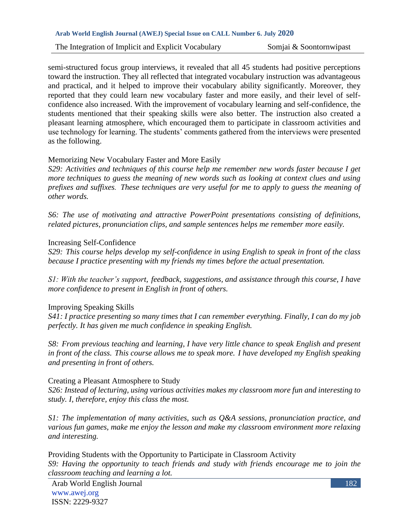The Integration of Implicit and Explicit Vocabulary Somjai & Soontornwipast

semi-structured focus group interviews, it revealed that all 45 students had positive perceptions toward the instruction. They all reflected that integrated vocabulary instruction was advantageous and practical, and it helped to improve their vocabulary ability significantly. Moreover, they reported that they could learn new vocabulary faster and more easily, and their level of selfconfidence also increased. With the improvement of vocabulary learning and self-confidence, the students mentioned that their speaking skills were also better. The instruction also created a pleasant learning atmosphere, which encouraged them to participate in classroom activities and use technology for learning. The students' comments gathered from the interviews were presented as the following.

#### Memorizing New Vocabulary Faster and More Easily

*S29: Activities and techniques of this course help me remember new words faster because I get more techniques to guess the meaning of new words such as looking at context clues and using prefixes and suffixes. These techniques are very useful for me to apply to guess the meaning of other words.*

*S6: The use of motivating and attractive PowerPoint presentations consisting of definitions, related pictures, pronunciation clips, and sample sentences helps me remember more easily.*

#### Increasing Self-Confidence

*S29: This course helps develop my self-confidence in using English to speak in front of the class because I practice presenting with my friends my times before the actual presentation.*

*S1: With the teacher's support, feedback, suggestions, and assistance through this course, I have more confidence to present in English in front of others.*

### Improving Speaking Skills

*S41: I practice presenting so many times that I can remember everything. Finally, I can do my job perfectly. It has given me much confidence in speaking English.*

*S8: From previous teaching and learning, I have very little chance to speak English and present in front of the class. This course allows me to speak more. I have developed my English speaking and presenting in front of others.*

#### Creating a Pleasant Atmosphere to Study

*S26: Instead of lecturing, using various activities makes my classroom more fun and interesting to study. I, therefore, enjoy this class the most.*

*S1: The implementation of many activities, such as Q&A sessions, pronunciation practice, and various fun games, make me enjoy the lesson and make my classroom environment more relaxing and interesting.*

Providing Students with the Opportunity to Participate in Classroom Activity *S9: Having the opportunity to teach friends and study with friends encourage me to join the classroom teaching and learning a lot.*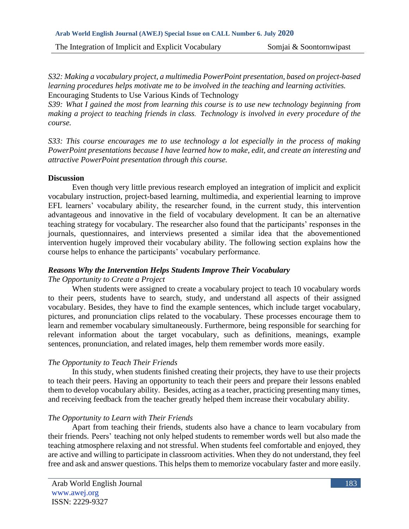The Integration of Implicit and Explicit Vocabulary Somjai & Soontornwipast

*S32: Making a vocabulary project, a multimedia PowerPoint presentation, based on project-based learning procedures helps motivate me to be involved in the teaching and learning activities.* Encouraging Students to Use Various Kinds of Technology

*S39: What I gained the most from learning this course is to use new technology beginning from making a project to teaching friends in class. Technology is involved in every procedure of the course.*

*S33: This course encourages me to use technology a lot especially in the process of making PowerPoint presentations because I have learned how to make, edit, and create an interesting and attractive PowerPoint presentation through this course.*

### **Discussion**

Even though very little previous research employed an integration of implicit and explicit vocabulary instruction, project-based learning, multimedia, and experiential learning to improve EFL learners' vocabulary ability, the researcher found, in the current study, this intervention advantageous and innovative in the field of vocabulary development. It can be an alternative teaching strategy for vocabulary. The researcher also found that the participants' responses in the journals, questionnaires, and interviews presented a similar idea that the abovementioned intervention hugely improved their vocabulary ability. The following section explains how the course helps to enhance the participants' vocabulary performance.

# *Reasons Why the Intervention Helps Students Improve Their Vocabulary*

### *The Opportunity to Create a Project*

When students were assigned to create a vocabulary project to teach 10 vocabulary words to their peers, students have to search, study, and understand all aspects of their assigned vocabulary. Besides, they have to find the example sentences, which include target vocabulary, pictures, and pronunciation clips related to the vocabulary. These processes encourage them to learn and remember vocabulary simultaneously. Furthermore, being responsible for searching for relevant information about the target vocabulary, such as definitions, meanings, example sentences, pronunciation, and related images, help them remember words more easily.

# *The Opportunity to Teach Their Friends*

In this study, when students finished creating their projects, they have to use their projects to teach their peers. Having an opportunity to teach their peers and prepare their lessons enabled them to develop vocabulary ability. Besides, acting as a teacher, practicing presenting many times, and receiving feedback from the teacher greatly helped them increase their vocabulary ability.

# *The Opportunity to Learn with Their Friends*

Apart from teaching their friends, students also have a chance to learn vocabulary from their friends. Peers' teaching not only helped students to remember words well but also made the teaching atmosphere relaxing and not stressful. When students feel comfortable and enjoyed, they are active and willing to participate in classroom activities. When they do not understand, they feel free and ask and answer questions. This helps them to memorize vocabulary faster and more easily.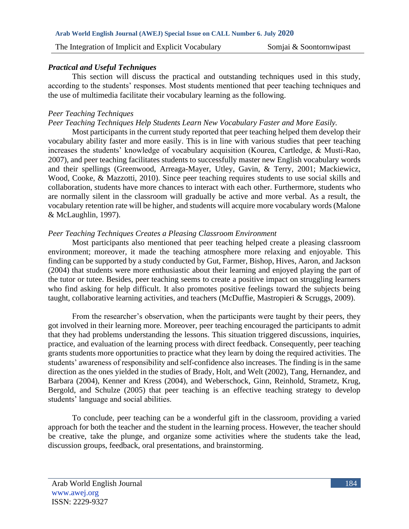#### *Practical and Useful Techniques*

This section will discuss the practical and outstanding techniques used in this study, according to the students' responses. Most students mentioned that peer teaching techniques and the use of multimedia facilitate their vocabulary learning as the following.

#### *Peer Teaching Techniques*

### *Peer Teaching Techniques Help Students Learn New Vocabulary Faster and More Easily.*

Most participants in the current study reported that peer teaching helped them develop their vocabulary ability faster and more easily. This is in line with various studies that peer teaching increases the students' knowledge of vocabulary acquisition (Kourea, Cartledge, & Musti-Rao, 2007), and peer teaching facilitates students to successfully master new English vocabulary words and their spellings (Greenwood, Arreaga-Mayer, Utley, Gavin, & Terry, 2001; Mackiewicz, Wood, Cooke, & Mazzotti, 2010). Since peer teaching requires students to use social skills and collaboration, students have more chances to interact with each other. Furthermore, students who are normally silent in the classroom will gradually be active and more verbal. As a result, the vocabulary retention rate will be higher, and students will acquire more vocabulary words (Malone & McLaughlin, 1997).

### *Peer Teaching Techniques Creates a Pleasing Classroom Environment*

Most participants also mentioned that peer teaching helped create a pleasing classroom environment; moreover, it made the teaching atmosphere more relaxing and enjoyable. This finding can be supported by a study conducted by Gut, Farmer, Bishop, Hives, Aaron, and Jackson (2004) that students were more enthusiastic about their learning and enjoyed playing the part of the tutor or tutee. Besides, peer teaching seems to create a positive impact on struggling learners who find asking for help difficult. It also promotes positive feelings toward the subjects being taught, collaborative learning activities, and teachers (McDuffie, Mastropieri & Scruggs, 2009).

From the researcher's observation, when the participants were taught by their peers, they got involved in their learning more. Moreover, peer teaching encouraged the participants to admit that they had problems understanding the lessons. This situation triggered discussions, inquiries, practice, and evaluation of the learning process with direct feedback. Consequently, peer teaching grants students more opportunities to practice what they learn by doing the required activities. The students' awareness of responsibility and self-confidence also increases. The finding is in the same direction as the ones yielded in the studies of Brady, Holt, and Welt (2002), Tang, Hernandez, and Barbara (2004), Kenner and Kress (2004), and Weberschock, Ginn, Reinhold, Strametz, Krug, Bergold, and Schulze (2005) that peer teaching is an effective teaching strategy to develop students' language and social abilities.

To conclude, peer teaching can be a wonderful gift in the classroom, providing a varied approach for both the teacher and the student in the learning process. However, the teacher should be creative, take the plunge, and organize some activities where the students take the lead, discussion groups, feedback, oral presentations, and brainstorming.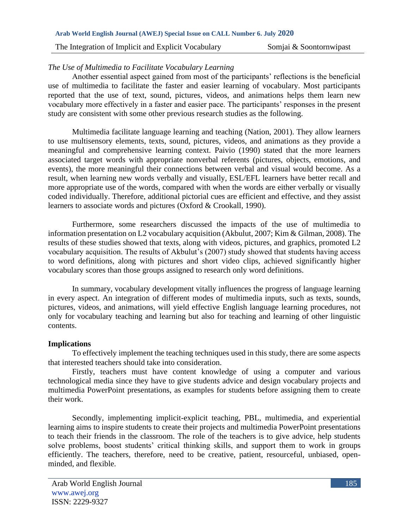The Integration of Implicit and Explicit Vocabulary Somjai & Soontornwipast

### *The Use of Multimedia to Facilitate Vocabulary Learning*

Another essential aspect gained from most of the participants' reflections is the beneficial use of multimedia to facilitate the faster and easier learning of vocabulary. Most participants reported that the use of text, sound, pictures, videos, and animations helps them learn new vocabulary more effectively in a faster and easier pace. The participants' responses in the present study are consistent with some other previous research studies as the following.

Multimedia facilitate language learning and teaching (Nation, 2001). They allow learners to use multisensory elements, texts, sound, pictures, videos, and animations as they provide a meaningful and comprehensive learning context. Paivio (1990) stated that the more learners associated target words with appropriate nonverbal referents (pictures, objects, emotions, and events), the more meaningful their connections between verbal and visual would become. As a result, when learning new words verbally and visually, ESL/EFL learners have better recall and more appropriate use of the words, compared with when the words are either verbally or visually coded individually. Therefore, additional pictorial cues are efficient and effective, and they assist learners to associate words and pictures (Oxford & Crookall, 1990).

Furthermore, some researchers discussed the impacts of the use of multimedia to information presentation on L2 vocabulary acquisition (Akbulut, 2007; Kim & Gilman, 2008). The results of these studies showed that texts, along with videos, pictures, and graphics, promoted L2 vocabulary acquisition. The results of Akbulut's (2007) study showed that students having access to word definitions, along with pictures and short video clips, achieved significantly higher vocabulary scores than those groups assigned to research only word definitions.

In summary, vocabulary development vitally influences the progress of language learning in every aspect. An integration of different modes of multimedia inputs, such as texts, sounds, pictures, videos, and animations, will yield effective English language learning procedures, not only for vocabulary teaching and learning but also for teaching and learning of other linguistic contents.

### **Implications**

To effectively implement the teaching techniques used in this study, there are some aspects that interested teachers should take into consideration.

Firstly, teachers must have content knowledge of using a computer and various technological media since they have to give students advice and design vocabulary projects and multimedia PowerPoint presentations, as examples for students before assigning them to create their work.

Secondly, implementing implicit-explicit teaching, PBL, multimedia, and experiential learning aims to inspire students to create their projects and multimedia PowerPoint presentations to teach their friends in the classroom. The role of the teachers is to give advice, help students solve problems, boost students' critical thinking skills, and support them to work in groups efficiently. The teachers, therefore, need to be creative, patient, resourceful, unbiased, openminded, and flexible.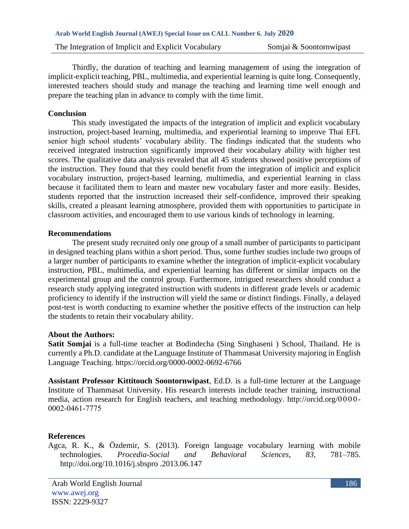Thirdly, the duration of teaching and learning management of using the integration of implicit-explicit teaching, PBL, multimedia, and experiential learning is quite long. Consequently, interested teachers should study and manage the teaching and learning time well enough and prepare the teaching plan in advance to comply with the time limit.

#### **Conclusion**

This study investigated the impacts of the integration of implicit and explicit vocabulary instruction, project-based learning, multimedia, and experiential learning to improve Thai EFL senior high school students' vocabulary ability. The findings indicated that the students who received integrated instruction significantly improved their vocabulary ability with higher test scores. The qualitative data analysis revealed that all 45 students showed positive perceptions of the instruction. They found that they could benefit from the integration of implicit and explicit vocabulary instruction, project-based learning, multimedia, and experiential learning in class because it facilitated them to learn and master new vocabulary faster and more easily. Besides, students reported that the instruction increased their self-confidence, improved their speaking skills, created a pleasant learning atmosphere, provided them with opportunities to participate in classroom activities, and encouraged them to use various kinds of technology in learning.

#### **Recommendations**

The present study recruited only one group of a small number of participants to participant in designed teaching plans within a short period. Thus, some further studies include two groups of a larger number of participants to examine whether the integration of implicit-explicit vocabulary instruction, PBL, multimedia, and experiential learning has different or similar impacts on the experimental group and the control group. Furthermore, intrigued researchers should conduct a research study applying integrated instruction with students in different grade levels or academic proficiency to identify if the instruction will yield the same or distinct findings. Finally, a delayed post-test is worth conducting to examine whether the positive effects of the instruction can help the students to retain their vocabulary ability.

#### **About the Authors:**

**Satit Somjai** is a full-time teacher at Bodindecha (Sing Singhaseni ) School, Thailand. He is currently a Ph.D. candidate at the Language Institute of Thammasat University majoring in English Language Teaching. https://orcid.org/0000-0002-0692-6766

**Assistant Professor Kittitouch Soontornwipast**, Ed.D. is a full-time lecturer at the Language Institute of Thammasat University. His research interests include teacher training, instructional media, action research for English teachers, and teaching methodology. http://orcid.org/0000- 0002-0461-7775

### **References**

Agca, R. K., & Özdemir, S. (2013). Foreign language vocabulary learning with mobile technologies. *Procedia-Social and Behavioral Sciences, 83,* 781–785. http://doi.org/10.1016/j.sbspro .2013.06.147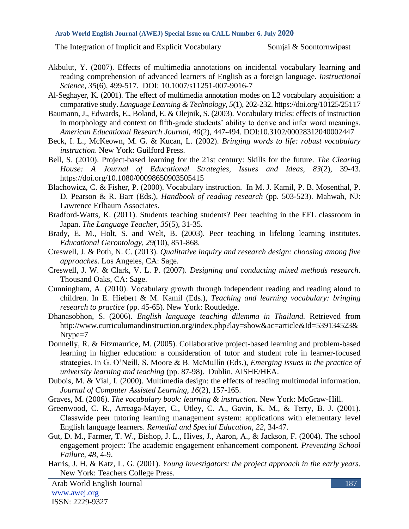The Integration of Implicit and Explicit Vocabulary Somjai  $\&$  Soontornwipast

- Akbulut, Y. (2007). Effects of multimedia annotations on incidental vocabulary learning and reading comprehension of advanced learners of English as a foreign language. *Instructional Science*, *35*(6), 499-517. DOI: [10.1007/s11251-007-9016-7](https://www.researchgate.net/deref/http%3A%2F%2Fdx.doi.org%2F10.1007%2Fs11251-007-9016-7?_sg%5B0%5D=dhHdcx3ZSUT6PCpIe74LPQkU3yefKs4cgXy65c8bKr7EY4MlKSGgf5-eZeIXiH72aF1lHe23ASX_AfhlRMEQ7QA4Gw.pwKG60PohTtm95UAapLKUtaONMI3WjqDfz4iaL-vyIDk3_Nct7QmO1-IIam4IWVrN4vs005my55TwuQ-c_E9YQ)
- Al-Seghayer, K. (2001). The effect of multimedia annotation modes on L2 vocabulary acquisition: a comparative study. *Language Learning & Technology, 5*(1), 202-232. https://doi.org/10125/25117
- Baumann, J., Edwards, E., Boland, E. & Olejnik, S. (2003). Vocabulary tricks: effects of instruction in morphology and context on fifth-grade students' ability to derive and infer word meanings. *American Educational Research Journal, 40*(2), 447-494. DOI[:10.3102/00028312040002447](https://www.researchgate.net/deref/http%3A%2F%2Fdx.doi.org%2F10.3102%2F00028312040002447?_sg%5B0%5D=eG_mRxKZLdpVf5KJi8gTwdQE0qJgqlgALM6u54hrGIR5xU5IWwI9O3HjJmB7zILxRxMxlXevjh-cYW2XYaXfuXmSzQ.TwdkNVMgNnHIJaxgvrqGiy_9TK939QuAwbm6IlTkp9p7w5k2nVsO396hhzQcHeb-1fA_Gs7lB9ytSRmaJmI1xw)
- Beck, I. L., McKeown, M. G. & Kucan, L. (2002). *Bringing words to life: robust vocabulary instruction*. New York: Guilford Press.
- Bell, S. (2010). Project-based learning for the 21st century: Skills for the future. *The Clearing House: A Journal of Educational Strategies, Issues and Ideas, 83*(2), 39-43. <https://doi.org/10.1080/00098650903505415>
- Blachowicz, C. & Fisher, P. (2000). Vocabulary instruction. In M. J. Kamil, P. B. Mosenthal, P. D. Pearson & R. Barr (Eds.), *Handbook of reading research* (pp. 503-523). Mahwah, NJ: Lawrence Erlbaum Associates.
- Bradford-Watts, K. (2011). Students teaching students? Peer teaching in the EFL classroom in Japan. *The Language Teacher, 35*(5), 31-35.
- Brady, E. M., Holt, S. and Welt, B. (2003). Peer teaching in lifelong learning institutes. *Educational Gerontology, 29*(10), 851-868.
- Creswell, J. & Poth, N. C. (2013). *Qualitative inquiry and research design: choosing among five approaches*. Los Angeles, CA: Sage.
- Creswell, J. W. & Clark, V. L. P. (2007). *Designing and conducting mixed methods research*. Thousand Oaks, CA: Sage.
- Cunningham, A. (2010). Vocabulary growth through independent reading and reading aloud to children. In E. Hiebert & M. Kamil (Eds.), *Teaching and learning vocabulary: bringing research to practice* (pp. 45-65). New York: Routledge.
- Dhanasobhon, S. (2006). *English language teaching dilemma in Thailand.* Retrieved from http://www.curriculumandinstruction.org/index.php?lay=show&ac=article&Id=539134523& Ntype=7
- Donnelly, R. & Fitzmaurice, M. (2005). Collaborative project-based learning and problem-based learning in higher education: a consideration of tutor and student role in learner-focused strategies. In G. O'Neill, S. Moore & B. McMullin (Eds.), *Emerging issues in the practice of university learning and teaching* (pp. 87-98). Dublin, AISHE/HEA.
- Dubois, M. & Vial, I. (2000). Multimedia design: the effects of reading multimodal information. *Journal of Computer Assisted Learning, 16*(2), 157-165.
- Graves, M. (2006). *The vocabulary book: learning & instruction*. New York: McGraw-Hill.
- Greenwood, C. R., Arreaga-Mayer, C., Utley, C. A., Gavin, K. M., & Terry, B. J. (2001). Classwide peer tutoring learning management system: applications with elementary level English language learners. *Remedial and Special Education, 22*, 34-47.
- Gut, D. M., Farmer, T. W., Bishop, J. L., Hives, J., Aaron, A., & Jackson, F. (2004). The school engagement project: The academic engagement enhancement component. *Preventing School Failure, 48*, 4-9.
- Harris, J. H. & Katz, L. G. (2001). *Young investigators: the project approach in the early years*. New York: Teachers College Press.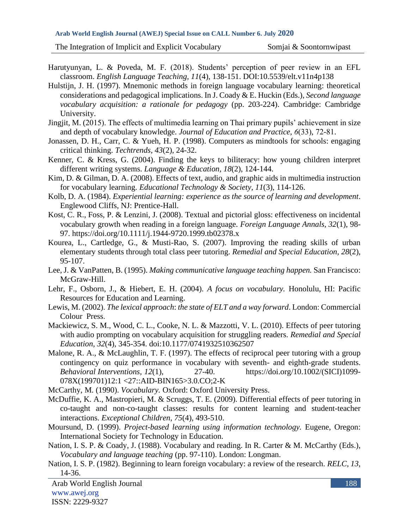The Integration of Implicit and Explicit Vocabulary Somjai & Soontornwipast

- Harutyunyan, L. & Poveda, M. F. (2018). Students' perception of peer review in an EFL classroom. *English Language Teaching, 11*(4), 138-151. DOI:10.5539/elt.v11n4p138
- Hulstijn, J. H. (1997). Mnemonic methods in foreign language vocabulary learning: theoretical considerations and pedagogical implications. In J. Coady & E. Huckin (Eds.), *Second language vocabulary acquisition: a rationale for pedagogy* (pp. 203-224). Cambridge: Cambridge University.
- Jingjit, M. (2015). The effects of multimedia learning on Thai primary pupils' achievement in size and depth of vocabulary knowledge. *Journal of Education and Practice, 6*(33), 72-81.
- Jonassen, D. H., Carr, C. & Yueh, H. P. (1998). Computers as mindtools for schools: engaging critical thinking. *Techtrends, 43*(2), 24-32.
- Kenner, C. & Kress, G. (2004). Finding the keys to biliteracy: how young children interpret different writing systems. *Language & Education, 18*(2), 124-144.
- Kim, D. & Gilman, D. A. (2008). Effects of text, audio, and graphic aids in multimedia instruction for vocabulary learning. *Educational Technology & Society, 11*(3), 114-126.
- Kolb, D. A. (1984). *Experiential learning: experience as the source of learning and development*. Englewood Cliffs, NJ: Prentice-Hall.
- Kost, C. R., Foss, P. & Lenzini, J. (2008). Textual and pictorial gloss: effectiveness on incidental vocabulary growth when reading in a foreign language. *Foreign Language Annals, 32*(1), 98- 97.<https://doi.org/10.1111/j.1944-9720.1999.tb02378.x>
- Kourea, L., Cartledge, G., & Musti-Rao, S. (2007). Improving the reading skills of urban elementary students through total class peer tutoring. *Remedial and Special Education, 28*(2), 95-107.
- Lee, J. & VanPatten, B. (1995). *Making communicative language teaching happen.* San Francisco: McGraw-Hill.
- Lehr, F., Osborn, J., & Hiebert, E. H. (2004). *A focus on vocabulary.* Honolulu, HI: Pacific Resources for Education and Learning.
- Lewis, M. (2002). *The lexical approach*: *the state of ELT and a way forward*. London: Commercial Colour Press.
- Mackiewicz, S. M., Wood, C. L., Cooke, N. L. & Mazzotti, V. L. (2010). Effects of peer tutoring with audio prompting on vocabulary acquisition for struggling readers. *Remedial and Special Education, 32*(4), 345-354. doi:10.1177/0741932510362507
- Malone, R. A., & McLaughlin, T. F. (1997). The effects of reciprocal peer tutoring with a group contingency on quiz performance in vocabulary with seventh- and eighth-grade students. *Behavioral Interventions, 12*(1), 27-40. https://doi.org/10.1002/(SICI)1099- 078X(199701)12:1 <27::AID-BIN165>3.0.CO;2-K
- McCarthy, M. (1990). *Vocabulary.* Oxford: Oxford University Press.
- McDuffie, K. A., Mastropieri, M. & Scruggs, T. E. (2009). Differential effects of peer tutoring in co-taught and non-co-taught classes: results for content learning and student-teacher interactions. *Exceptional Children, 75*(4), 493-510.
- Moursund, D. (1999). *Project-based learning using information technology.* Eugene, Oregon: International Society for Technology in Education.
- Nation, I. S. P. & Coady, J. (1988). Vocabulary and reading. In R. Carter & M. McCarthy (Eds.), *Vocabulary and language teaching* (pp. 97-110). London: Longman.
- Nation, I. S. P. (1982). Beginning to learn foreign vocabulary: a review of the research. *RELC, 13*, 14-36.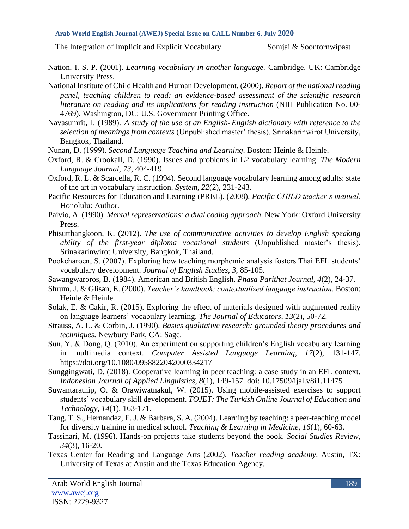- Nation, I. S. P. (2001). *Learning vocabulary in another language.* Cambridge, UK: Cambridge University Press.
- National Institute of Child Health and Human Development. (2000). *Report of the national reading panel, teaching children to read: an evidence-based assessment of the scientific research literature on reading and its implications for reading instruction* (NIH Publication No. 00- 4769). Washington, DC: U.S. Government Printing Office.
- Navasumrit, I. (1989). *A study of the use of an English-English dictionary with reference to the selection of meanings from contexts* (Unpublished master' thesis). Srinakarinwirot University, Bangkok, Thailand.
- Nunan, D. (1999). *Second Language Teaching and Learning*. Boston: Heinle & Heinle.
- Oxford, R. & Crookall, D. (1990). Issues and problems in L2 vocabulary learning. *The Modern Language Journal, 73*, 404-419.
- Oxford, R. L. & Scarcella, R. C. (1994). Second language vocabulary learning among adults: state of the art in vocabulary instruction. *System, 22*(2), 231-243.
- Pacific Resources for Education and Learning (PREL). (2008). *Pacific CHILD teacher's manual.* Honolulu: Author.
- Paivio, A. (1990). *Mental representations: a dual coding approach*. New York: Oxford University Press.
- Phisutthangkoon, K. (2012). *The use of communicative activities to develop English speaking ability of the first-year diploma vocational students* (Unpublished master's thesis). Srinakarinwirot University, Bangkok, Thailand.
- Pookcharoen, S. (2007). Exploring how teaching morphemic analysis fosters Thai EFL students' vocabulary development. *Journal of English Studies, 3*, 85-105.
- Sawangwaroros, B. (1984). American and British English. *Phasa Parithat Journal, 4*(2), 24-37.
- Shrum, J. & Glisan, E. (2000). *Teacher's handbook: contextualized language instruction*. Boston: Heinle & Heinle.
- Solak, E. & Cakir, R. (2015). Exploring the effect of materials designed with augmented reality on language learners' vocabulary learning. *The Journal of Educators, 13*(2), 50-72.
- Strauss, A. L. & Corbin, J. (1990). *Basics qualitative research: grounded theory procedures and techniques.* Newbury Park, CA: Sage.
- Sun, Y. & Dong, Q. (2010). An experiment on supporting children's English vocabulary learning in multimedia context. *Computer Assisted Language Learning, 17*(2), 131-147. <https://doi.org/10.1080/0958822042000334217>
- Sunggingwati, D. (2018). Cooperative learning in peer teaching: a case study in an EFL context. *Indonesian Journal of Applied Linguistics, 8*(1), 149-157. doi: 10.17509/ijal.v8i1.11475
- Suwantarathip, O. & Orawiwatnakul, W. (2015). Using mobile-assisted exercises to support students' vocabulary skill development. *TOJET: The Turkish Online Journal of Education and Technology, 14*(1), 163-171.
- Tang, T. S., Hernandez, E. J. & Barbara, S. A. (2004). Learning by teaching: a peer-teaching model for diversity training in medical school. *Teaching & Learning in Medicine, 16*(1), 60-63.
- Tassinari, M. (1996). Hands-on projects take students beyond the book. *Social Studies Review, 34*(3), 16-20.
- Texas Center for Reading and Language Arts (2002). *Teacher reading academy*. Austin, TX: University of Texas at Austin and the Texas Education Agency.